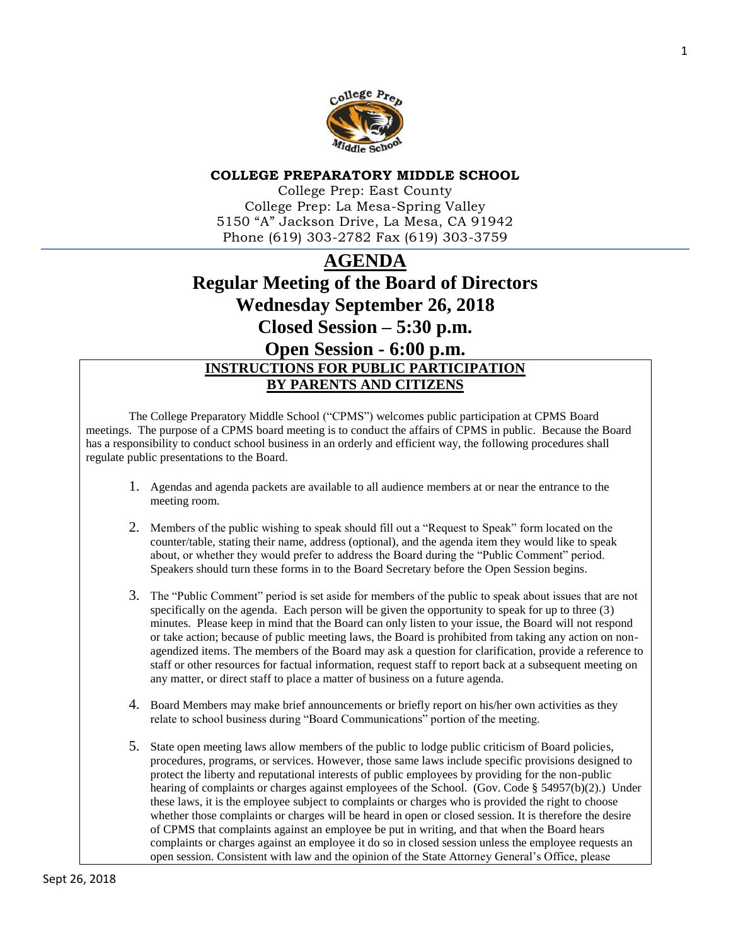

# **COLLEGE PREPARATORY MIDDLE SCHOOL**

College Prep: East County College Prep: La Mesa-Spring Valley 5150 "A" Jackson Drive, La Mesa, CA 91942 Phone (619) 303-2782 Fax (619) 303-3759

# **AGENDA Regular Meeting of the Board of Directors Wednesday September 26, 2018 Closed Session – 5:30 p.m. Open Session - 6:00 p.m. INSTRUCTIONS FOR PUBLIC PARTICIPATION BY PARENTS AND CITIZENS**

The College Preparatory Middle School ("CPMS") welcomes public participation at CPMS Board meetings. The purpose of a CPMS board meeting is to conduct the affairs of CPMS in public. Because the Board has a responsibility to conduct school business in an orderly and efficient way, the following procedures shall regulate public presentations to the Board.

- 1. Agendas and agenda packets are available to all audience members at or near the entrance to the meeting room.
- 2. Members of the public wishing to speak should fill out a "Request to Speak" form located on the counter/table, stating their name, address (optional), and the agenda item they would like to speak about, or whether they would prefer to address the Board during the "Public Comment" period. Speakers should turn these forms in to the Board Secretary before the Open Session begins.
- 3. The "Public Comment" period is set aside for members of the public to speak about issues that are not specifically on the agenda. Each person will be given the opportunity to speak for up to three (3) minutes. Please keep in mind that the Board can only listen to your issue, the Board will not respond or take action; because of public meeting laws, the Board is prohibited from taking any action on nonagendized items. The members of the Board may ask a question for clarification, provide a reference to staff or other resources for factual information, request staff to report back at a subsequent meeting on any matter, or direct staff to place a matter of business on a future agenda.
- 4. Board Members may make brief announcements or briefly report on his/her own activities as they relate to school business during "Board Communications" portion of the meeting.
- 5. State open meeting laws allow members of the public to lodge public criticism of Board policies, procedures, programs, or services. However, those same laws include specific provisions designed to protect the liberty and reputational interests of public employees by providing for the non-public hearing of complaints or charges against employees of the School. (Gov. Code § 54957(b)(2).) Under these laws, it is the employee subject to complaints or charges who is provided the right to choose whether those complaints or charges will be heard in open or closed session. It is therefore the desire of CPMS that complaints against an employee be put in writing, and that when the Board hears complaints or charges against an employee it do so in closed session unless the employee requests an open session. Consistent with law and the opinion of the State Attorney General's Office, please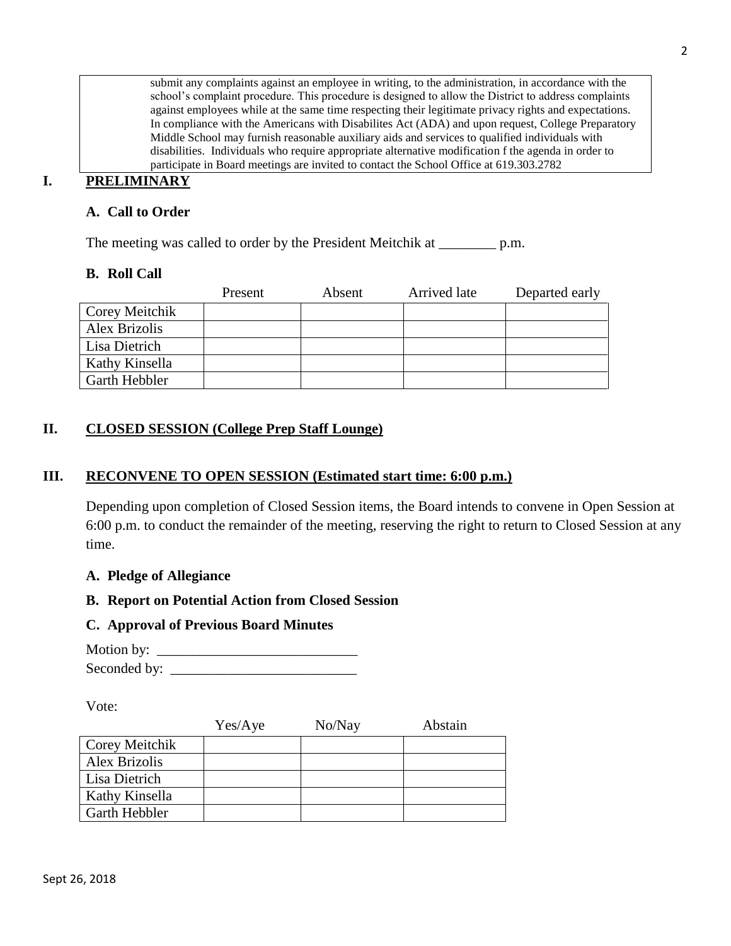submit any complaints against an employee in writing, to the administration, in accordance with the school's complaint procedure. This procedure is designed to allow the District to address complaints against employees while at the same time respecting their legitimate privacy rights and expectations. In compliance with the Americans with Disabilites Act (ADA) and upon request, College Preparatory Middle School may furnish reasonable auxiliary aids and services to qualified individuals with disabilities. Individuals who require appropriate alternative modification f the agenda in order to participate in Board meetings are invited to contact the School Office at 619.303.2782

# **I. PRELIMINARY**

# **A. Call to Order**

The meeting was called to order by the President Meitchik at \_\_\_\_\_\_\_\_\_\_ p.m.

# **B. Roll Call**

|                | Present | Absent | Arrived late | Departed early |
|----------------|---------|--------|--------------|----------------|
| Corey Meitchik |         |        |              |                |
| Alex Brizolis  |         |        |              |                |
| Lisa Dietrich  |         |        |              |                |
| Kathy Kinsella |         |        |              |                |
| Garth Hebbler  |         |        |              |                |

# **II. CLOSED SESSION (College Prep Staff Lounge)**

# **III. RECONVENE TO OPEN SESSION (Estimated start time: 6:00 p.m.)**

Depending upon completion of Closed Session items, the Board intends to convene in Open Session at 6:00 p.m. to conduct the remainder of the meeting, reserving the right to return to Closed Session at any time.

# **A. Pledge of Allegiance**

# **B. Report on Potential Action from Closed Session**

# **C. Approval of Previous Board Minutes**

| Motion by:   |  |
|--------------|--|
| Seconded by: |  |

Vote:

|                      | Yes/Aye | No/Nay | Abstain |
|----------------------|---------|--------|---------|
| Corey Meitchik       |         |        |         |
| Alex Brizolis        |         |        |         |
| Lisa Dietrich        |         |        |         |
| Kathy Kinsella       |         |        |         |
| <b>Garth Hebbler</b> |         |        |         |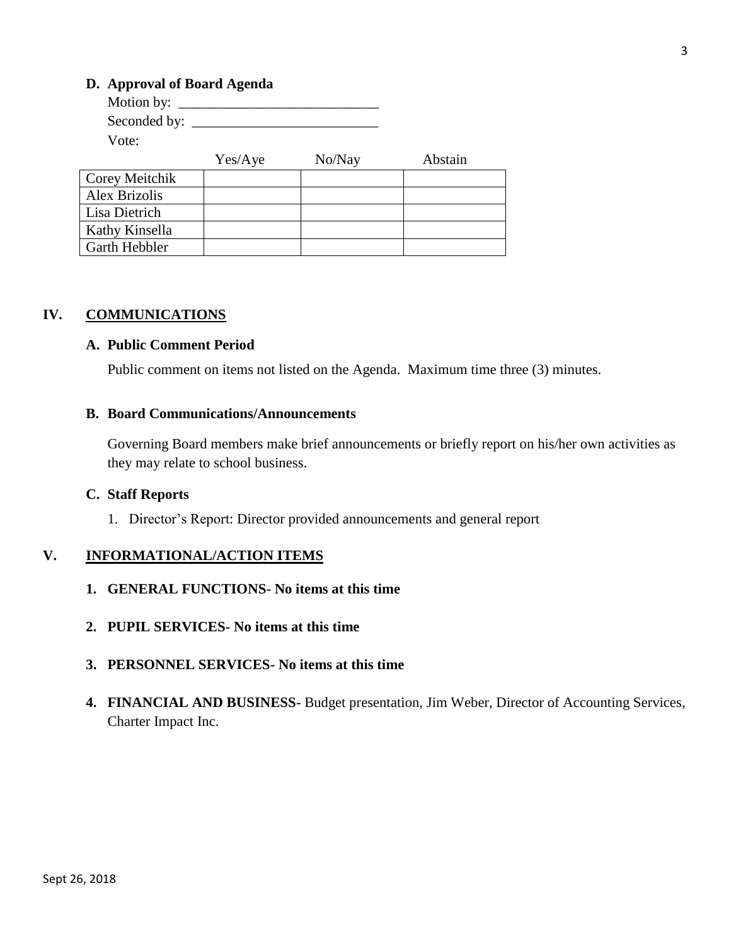# **D. Approval of Board Agenda**

| Motion by: $\_\_$    |         |        |         |
|----------------------|---------|--------|---------|
| Seconded by: _____   |         |        |         |
| Vote:                |         |        |         |
|                      | Yes/Aye | No/Nay | Abstain |
| Corey Meitchik       |         |        |         |
| <b>Alex Brizolis</b> |         |        |         |
| Lisa Dietrich        |         |        |         |
| Kathy Kinsella       |         |        |         |
| Garth Hebbler        |         |        |         |

# **IV. COMMUNICATIONS**

#### **A. Public Comment Period**

Public comment on items not listed on the Agenda. Maximum time three (3) minutes.

#### **B. Board Communications/Announcements**

Governing Board members make brief announcements or briefly report on his/her own activities as they may relate to school business.

#### **C. Staff Reports**

1. Director's Report: Director provided announcements and general report

# **V. INFORMATIONAL/ACTION ITEMS**

- **1. GENERAL FUNCTIONS- No items at this time**
- **2. PUPIL SERVICES- No items at this time**
- **3. PERSONNEL SERVICES- No items at this time**
- **4. FINANCIAL AND BUSINESS-** Budget presentation, Jim Weber, Director of Accounting Services, Charter Impact Inc.